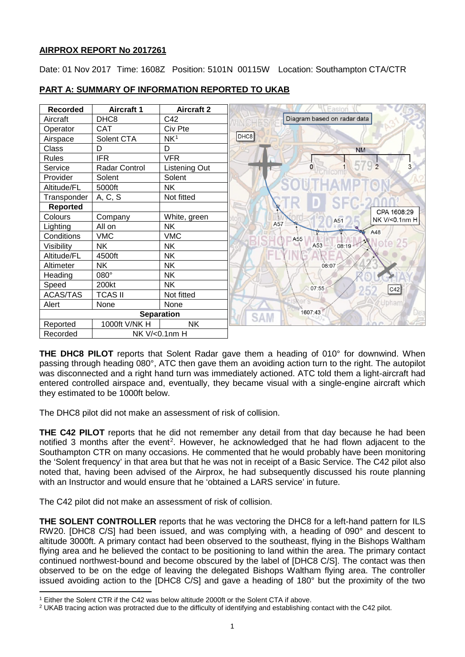## **AIRPROX REPORT No 2017261**

Date: 01 Nov 2017 Time: 1608Z Position: 5101N 00115W Location: Southampton CTA/CTR



# **PART A: SUMMARY OF INFORMATION REPORTED TO UKAB**

**THE DHC8 PILOT** reports that Solent Radar gave them a heading of 010° for downwind. When passing through heading 080°, ATC then gave them an avoiding action turn to the right. The autopilot was disconnected and a right hand turn was immediately actioned. ATC told them a light-aircraft had entered controlled airspace and, eventually, they became visual with a single-engine aircraft which they estimated to be 1000ft below.

The DHC8 pilot did not make an assessment of risk of collision.

**THE C42 PILOT** reports that he did not remember any detail from that day because he had been notified 3 months after the event<sup>[2](#page-0-1)</sup>. However, he acknowledged that he had flown adjacent to the Southampton CTR on many occasions. He commented that he would probably have been monitoring the 'Solent frequency' in that area but that he was not in receipt of a Basic Service. The C42 pilot also noted that, having been advised of the Airprox, he had subsequently discussed his route planning with an Instructor and would ensure that he 'obtained a LARS service' in future.

The C42 pilot did not make an assessment of risk of collision.

l

**THE SOLENT CONTROLLER** reports that he was vectoring the DHC8 for a left-hand pattern for ILS RW20. [DHC8 C/S] had been issued, and was complying with, a heading of 090° and descent to altitude 3000ft. A primary contact had been observed to the southeast, flying in the Bishops Waltham flying area and he believed the contact to be positioning to land within the area. The primary contact continued northwest-bound and become obscured by the label of [DHC8 C/S]. The contact was then observed to be on the edge of leaving the delegated Bishops Waltham flying area. The controller issued avoiding action to the [DHC8 C/S] and gave a heading of 180° but the proximity of the two

<span id="page-0-0"></span><sup>&</sup>lt;sup>1</sup> Either the Solent CTR if the C42 was below altitude 2000ft or the Solent CTA if above.

<span id="page-0-1"></span><sup>2</sup> UKAB tracing action was protracted due to the difficulty of identifying and establishing contact with the C42 pilot.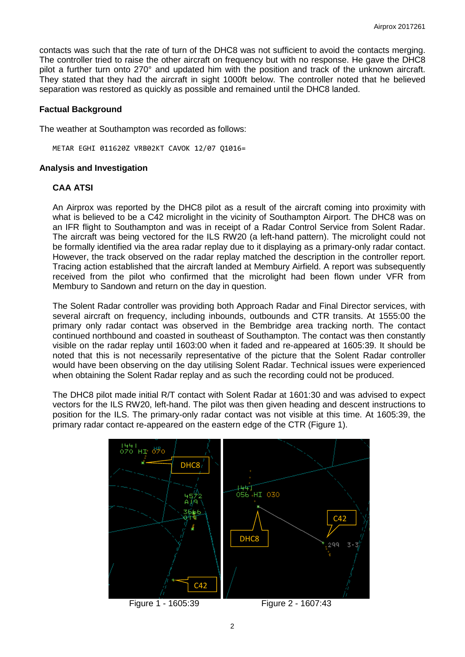contacts was such that the rate of turn of the DHC8 was not sufficient to avoid the contacts merging. The controller tried to raise the other aircraft on frequency but with no response. He gave the DHC8 pilot a further turn onto 270° and updated him with the position and track of the unknown aircraft. They stated that they had the aircraft in sight 1000ft below. The controller noted that he believed separation was restored as quickly as possible and remained until the DHC8 landed.

### **Factual Background**

The weather at Southampton was recorded as follows:

METAR EGHI 011620Z VRB02KT CAVOK 12/07 Q1016=

#### **Analysis and Investigation**

## **CAA ATSI**

An Airprox was reported by the DHC8 pilot as a result of the aircraft coming into proximity with what is believed to be a C42 microlight in the vicinity of Southampton Airport. The DHC8 was on an IFR flight to Southampton and was in receipt of a Radar Control Service from Solent Radar. The aircraft was being vectored for the ILS RW20 (a left-hand pattern). The microlight could not be formally identified via the area radar replay due to it displaying as a primary-only radar contact. However, the track observed on the radar replay matched the description in the controller report. Tracing action established that the aircraft landed at Membury Airfield. A report was subsequently received from the pilot who confirmed that the microlight had been flown under VFR from Membury to Sandown and return on the day in question.

The Solent Radar controller was providing both Approach Radar and Final Director services, with several aircraft on frequency, including inbounds, outbounds and CTR transits. At 1555:00 the primary only radar contact was observed in the Bembridge area tracking north. The contact continued northbound and coasted in southeast of Southampton. The contact was then constantly visible on the radar replay until 1603:00 when it faded and re-appeared at 1605:39. It should be noted that this is not necessarily representative of the picture that the Solent Radar controller would have been observing on the day utilising Solent Radar. Technical issues were experienced when obtaining the Solent Radar replay and as such the recording could not be produced.

The DHC8 pilot made initial R/T contact with Solent Radar at 1601:30 and was advised to expect vectors for the ILS RW20, left-hand. The pilot was then given heading and descent instructions to position for the ILS. The primary-only radar contact was not visible at this time. At 1605:39, the primary radar contact re-appeared on the eastern edge of the CTR (Figure 1).

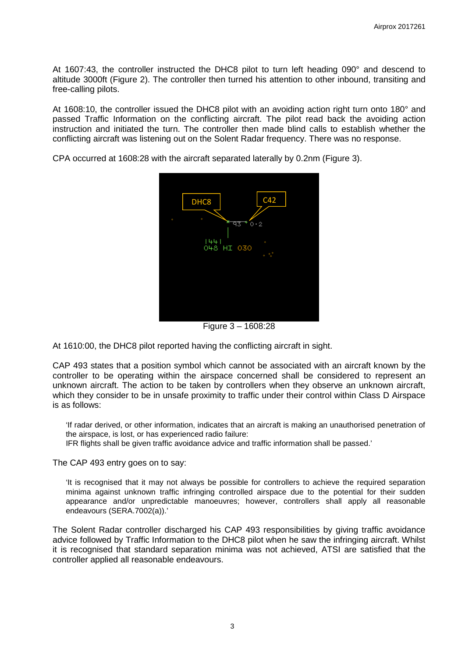At 1607:43, the controller instructed the DHC8 pilot to turn left heading 090° and descend to altitude 3000ft (Figure 2). The controller then turned his attention to other inbound, transiting and free-calling pilots.

At 1608:10, the controller issued the DHC8 pilot with an avoiding action right turn onto 180° and passed Traffic Information on the conflicting aircraft. The pilot read back the avoiding action instruction and initiated the turn. The controller then made blind calls to establish whether the conflicting aircraft was listening out on the Solent Radar frequency. There was no response.

CPA occurred at 1608:28 with the aircraft separated laterally by 0.2nm (Figure 3).



Figure 3 – 1608:28

At 1610:00, the DHC8 pilot reported having the conflicting aircraft in sight.

CAP 493 states that a position symbol which cannot be associated with an aircraft known by the controller to be operating within the airspace concerned shall be considered to represent an unknown aircraft. The action to be taken by controllers when they observe an unknown aircraft, which they consider to be in unsafe proximity to traffic under their control within Class D Airspace is as follows:

'If radar derived, or other information, indicates that an aircraft is making an unauthorised penetration of the airspace, is lost, or has experienced radio failure:

IFR flights shall be given traffic avoidance advice and traffic information shall be passed.'

The CAP 493 entry goes on to say:

'It is recognised that it may not always be possible for controllers to achieve the required separation minima against unknown traffic infringing controlled airspace due to the potential for their sudden appearance and/or unpredictable manoeuvres; however, controllers shall apply all reasonable endeavours (SERA.7002(a)).'

The Solent Radar controller discharged his CAP 493 responsibilities by giving traffic avoidance advice followed by Traffic Information to the DHC8 pilot when he saw the infringing aircraft. Whilst it is recognised that standard separation minima was not achieved, ATSI are satisfied that the controller applied all reasonable endeavours.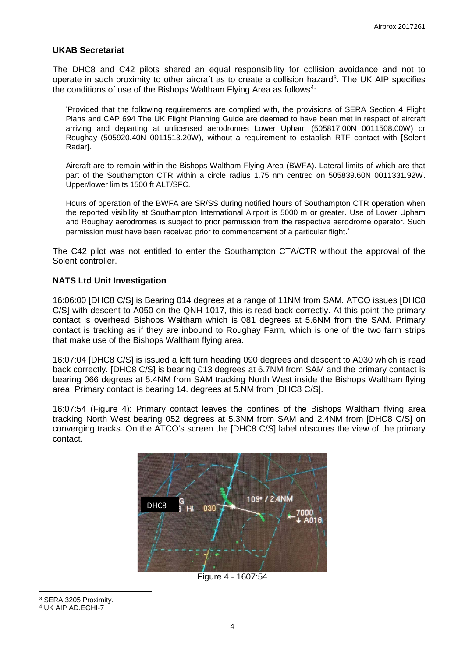### **UKAB Secretariat**

The DHC8 and C42 pilots shared an equal responsibility for collision avoidance and not to operate in such proximity to other aircraft as to create a collision hazard<sup>[3](#page-3-0)</sup>. The UK AIP specifies the conditions of use of the Bishops Waltham Flying Area as follows $^4$  $^4$ :

'Provided that the following requirements are complied with, the provisions of SERA Section 4 Flight Plans and CAP 694 The UK Flight Planning Guide are deemed to have been met in respect of aircraft arriving and departing at unlicensed aerodromes Lower Upham (505817.00N 0011508.00W) or Roughay (505920.40N 0011513.20W), without a requirement to establish RTF contact with [Solent Radar].

Aircraft are to remain within the Bishops Waltham Flying Area (BWFA). Lateral limits of which are that part of the Southampton CTR within a circle radius 1.75 nm centred on 505839.60N 0011331.92W. Upper/lower limits 1500 ft ALT/SFC.

Hours of operation of the BWFA are SR/SS during notified hours of Southampton CTR operation when the reported visibility at Southampton International Airport is 5000 m or greater. Use of Lower Upham and Roughay aerodromes is subject to prior permission from the respective aerodrome operator. Such permission must have been received prior to commencement of a particular flight.'

The C42 pilot was not entitled to enter the Southampton CTA/CTR without the approval of the Solent controller.

## **NATS Ltd Unit Investigation**

16:06:00 [DHC8 C/S] is Bearing 014 degrees at a range of 11NM from SAM. ATCO issues [DHC8 C/S] with descent to A050 on the QNH 1017, this is read back correctly. At this point the primary contact is overhead Bishops Waltham which is 081 degrees at 5.6NM from the SAM. Primary contact is tracking as if they are inbound to Roughay Farm, which is one of the two farm strips that make use of the Bishops Waltham flying area.

16:07:04 [DHC8 C/S] is issued a left turn heading 090 degrees and descent to A030 which is read back correctly. [DHC8 C/S] is bearing 013 degrees at 6.7NM from SAM and the primary contact is bearing 066 degrees at 5.4NM from SAM tracking North West inside the Bishops Waltham flying area. Primary contact is bearing 14. degrees at 5.NM from [DHC8 C/S].

16:07:54 (Figure 4): Primary contact leaves the confines of the Bishops Waltham flying area tracking North West bearing 052 degrees at 5.3NM from SAM and 2.4NM from [DHC8 C/S] on converging tracks. On the ATCO's screen the [DHC8 C/S] label obscures the view of the primary contact.



Figure 4 - 1607:54

<span id="page-3-0"></span><sup>3</sup> SERA.3205 Proximity.

l

<span id="page-3-1"></span><sup>4</sup> UK AIP AD.EGHI-7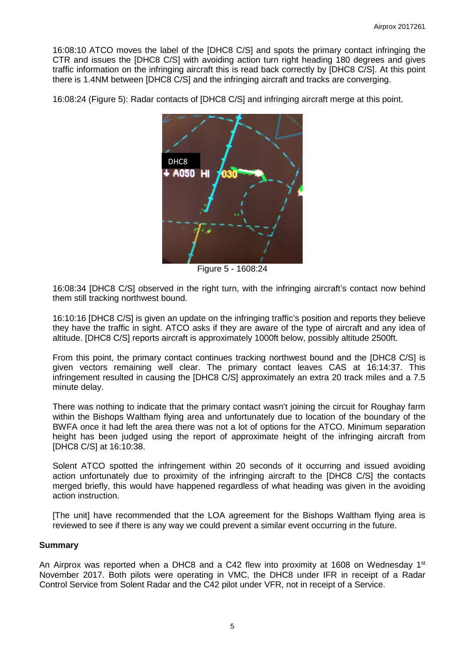16:08:10 ATCO moves the label of the [DHC8 C/S] and spots the primary contact infringing the CTR and issues the [DHC8 C/S] with avoiding action turn right heading 180 degrees and gives traffic information on the infringing aircraft this is read back correctly by [DHC8 C/S]. At this point there is 1.4NM between [DHC8 C/S] and the infringing aircraft and tracks are converging.

16:08:24 (Figure 5): Radar contacts of [DHC8 C/S] and infringing aircraft merge at this point.



Figure 5 - 1608:24

16:08:34 [DHC8 C/S] observed in the right turn, with the infringing aircraft's contact now behind them still tracking northwest bound.

16:10:16 [DHC8 C/S] is given an update on the infringing traffic's position and reports they believe they have the traffic in sight. ATCO asks if they are aware of the type of aircraft and any idea of altitude. [DHC8 C/S] reports aircraft is approximately 1000ft below, possibly altitude 2500ft.

From this point, the primary contact continues tracking northwest bound and the [DHC8 C/S] is given vectors remaining well clear. The primary contact leaves CAS at 16:14:37. This infringement resulted in causing the [DHC8 C/S] approximately an extra 20 track miles and a 7.5 minute delay.

There was nothing to indicate that the primary contact wasn't joining the circuit for Roughay farm within the Bishops Waltham flying area and unfortunately due to location of the boundary of the BWFA once it had left the area there was not a lot of options for the ATCO. Minimum separation height has been judged using the report of approximate height of the infringing aircraft from [DHC8 C/S] at 16:10:38.

Solent ATCO spotted the infringement within 20 seconds of it occurring and issued avoiding action unfortunately due to proximity of the infringing aircraft to the [DHC8 C/S] the contacts merged briefly, this would have happened regardless of what heading was given in the avoiding action instruction.

[The unit] have recommended that the LOA agreement for the Bishops Waltham flying area is reviewed to see if there is any way we could prevent a similar event occurring in the future.

#### **Summary**

An Airprox was reported when a DHC8 and a C42 flew into proximity at 1608 on Wednesday 1st November 2017. Both pilots were operating in VMC, the DHC8 under IFR in receipt of a Radar Control Service from Solent Radar and the C42 pilot under VFR, not in receipt of a Service.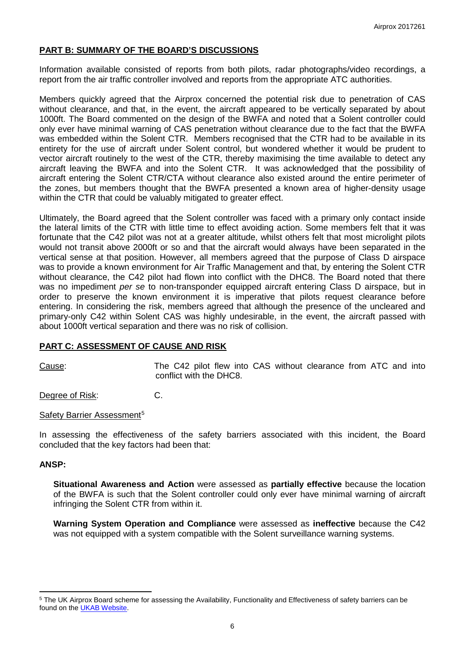## **PART B: SUMMARY OF THE BOARD'S DISCUSSIONS**

Information available consisted of reports from both pilots, radar photographs/video recordings, a report from the air traffic controller involved and reports from the appropriate ATC authorities.

Members quickly agreed that the Airprox concerned the potential risk due to penetration of CAS without clearance, and that, in the event, the aircraft appeared to be vertically separated by about 1000ft. The Board commented on the design of the BWFA and noted that a Solent controller could only ever have minimal warning of CAS penetration without clearance due to the fact that the BWFA was embedded within the Solent CTR. Members recognised that the CTR had to be available in its entirety for the use of aircraft under Solent control, but wondered whether it would be prudent to vector aircraft routinely to the west of the CTR, thereby maximising the time available to detect any aircraft leaving the BWFA and into the Solent CTR. It was acknowledged that the possibility of aircraft entering the Solent CTR/CTA without clearance also existed around the entire perimeter of the zones, but members thought that the BWFA presented a known area of higher-density usage within the CTR that could be valuably mitigated to greater effect.

Ultimately, the Board agreed that the Solent controller was faced with a primary only contact inside the lateral limits of the CTR with little time to effect avoiding action. Some members felt that it was fortunate that the C42 pilot was not at a greater altitude, whilst others felt that most microlight pilots would not transit above 2000ft or so and that the aircraft would always have been separated in the vertical sense at that position. However, all members agreed that the purpose of Class D airspace was to provide a known environment for Air Traffic Management and that, by entering the Solent CTR without clearance, the C42 pilot had flown into conflict with the DHC8. The Board noted that there was no impediment *per se* to non-transponder equipped aircraft entering Class D airspace, but in order to preserve the known environment it is imperative that pilots request clearance before entering. In considering the risk, members agreed that although the presence of the uncleared and primary-only C42 within Solent CAS was highly undesirable, in the event, the aircraft passed with about 1000ft vertical separation and there was no risk of collision.

#### **PART C: ASSESSMENT OF CAUSE AND RISK**

Cause: The C42 pilot flew into CAS without clearance from ATC and into conflict with the DHC8.

Degree of Risk: C.

#### Safety Barrier Assessment<sup>[5](#page-5-0)</sup>

In assessing the effectiveness of the safety barriers associated with this incident, the Board concluded that the key factors had been that:

#### **ANSP:**

l

**Situational Awareness and Action** were assessed as **partially effective** because the location of the BWFA is such that the Solent controller could only ever have minimal warning of aircraft infringing the Solent CTR from within it.

**Warning System Operation and Compliance** were assessed as **ineffective** because the C42 was not equipped with a system compatible with the Solent surveillance warning systems.

<span id="page-5-0"></span><sup>5</sup> The UK Airprox Board scheme for assessing the Availability, Functionality and Effectiveness of safety barriers can be found on the [UKAB Website.](http://www.airproxboard.org.uk/Learn-more/Airprox-Barrier-Assessment/)